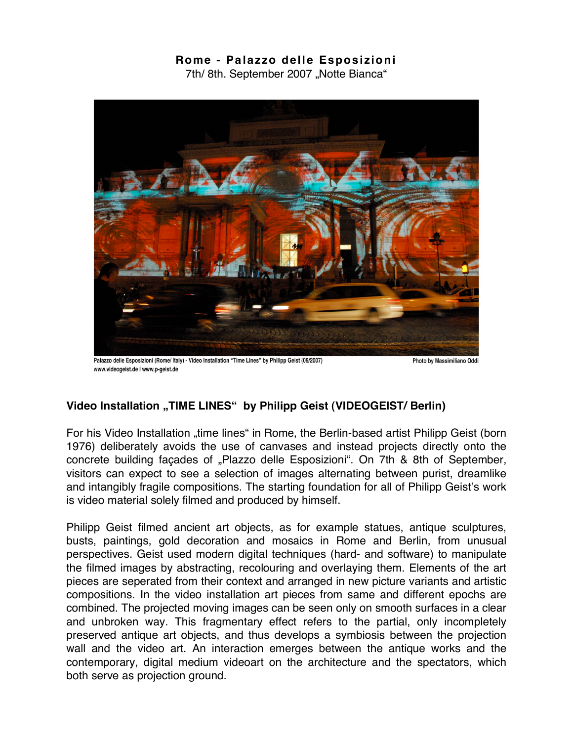## **Rome - Pa lazzo dell e Esposizioni**

7th/ 8th. September 2007 "Notte Bianca"



Palazzo delle Esposizioni (Rome/ Italy) - Video Installation "Time Lines" by Philipp Geist (09/2007) www.videogeist.de | www.p-geist.de

Photo by Massimiliano Oddi

## **Video Installation "TIME LINES" by Philipp Geist (VIDEOGEIST/ Berlin)**

For his Video Installation "time lines" in Rome, the Berlin-based artist Philipp Geist (born 1976) deliberately avoids the use of canvases and instead projects directly onto the concrete building facades of "Plazzo delle Esposizioni". On 7th & 8th of September, visitors can expect to see a selection of images alternating between purist, dreamlike and intangibly fragile compositions. The starting foundation for all of Philipp Geist's work is video material solely filmed and produced by himself.

Philipp Geist filmed ancient art objects, as for example statues, antique sculptures, busts, paintings, gold decoration and mosaics in Rome and Berlin, from unusual perspectives. Geist used modern digital techniques (hard- and software) to manipulate the filmed images by abstracting, recolouring and overlaying them. Elements of the art pieces are seperated from their context and arranged in new picture variants and artistic compositions. In the video installation art pieces from same and different epochs are combined. The projected moving images can be seen only on smooth surfaces in a clear and unbroken way. This fragmentary effect refers to the partial, only incompletely preserved antique art objects, and thus develops a symbiosis between the projection wall and the video art. An interaction emerges between the antique works and the contemporary, digital medium videoart on the architecture and the spectators, which both serve as projection ground.